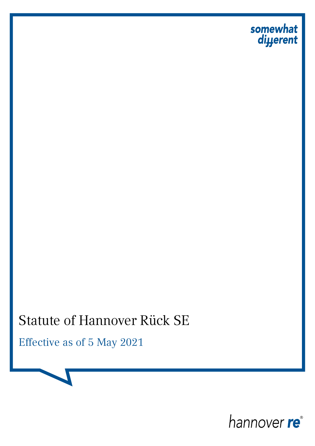

# Statute of Hannover Rück SE

Effective as of 5 May 2021

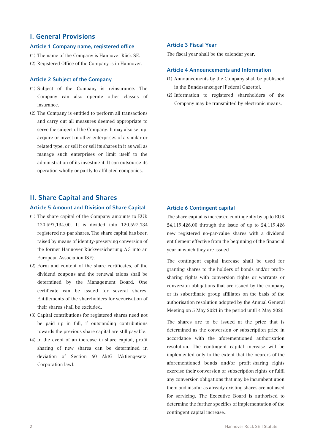## I. General Provisions

#### Article 1 Company name, registered office

- (1) The name of the Company is Hannover Rück SE.
- (2) Registered Office of the Company is in Hannover.

#### Article 2 Subject of the Company

- (1) Subject of the Company is reinsurance. The Company can also operate other classes of insurance.
- (2) The Company is entitled to perform all transactions and carry out all measures deemed appropriate to serve the subject of the Company. It may also set up, acquire or invest in other enterprises of a similar or related type, or sell it or sell its shares in it as well as manage such enterprises or limit itself to the administration of its investment. It can outsource its operation wholly or partly to affiliated companies.

# II. Share Capital and Shares

#### Article 5 Amount and Division of Share Capital

- (1) The share capital of the Company amounts to EUR 120,597,134.00. It is divided into 120,597,134 registered no-par shares. The share capital has been raised by means of identity-preserving conversion of the former Hannover Rückversicherung AG into an European Association (SE).
- (2) Form and content of the share certificates, of the dividend coupons and the renewal talons shall be determined by the Management Board. One certificate can be issued for several shares. Entitlements of the shareholders for securisation of their shares shall be excluded.
- (3) Capital contributions for registered shares need not be paid up in full, if outstanding contributions towards the previous share capital are still payable.
- (4) In the event of an increase in share capital, profit sharing of new shares can be determined in deviation of Section 60 AktG [Aktiengesetz, Corporation law].

#### Article 3 Fiscal Year

The fiscal year shall be the calendar year.

#### Article 4 Announcements and Information

- (1) Announcements by the Company shall be published in the Bundesanzeiger [Federal Gazette].
- (2) Information to registered shareholders of the Company may be transmitted by electronic means.

#### Article 6 Contingent capital

The share capital is increased contingently by up to EUR 24,119,426.00 through the issue of up to 24,119,426 new registered no-par-value shares with a dividend entitlement effective from the beginning of the financial year in which they are issued

The contingent capital increase shall be used for granting shares to the holders of bonds and/or profitsharing rights with conversion rights or warrants or conversion obligations that are issued by the company or its subordinate group affiliates on the basis of the authorisation resolution adopted by the Annual General Meeting on 5 May 2021 in the period until 4 May 2026

The shares are to be issued at the price that is determined as the conversion or subscription price in accordance with the aforementioned authorisation resolution. The contingent capital increase will be implemented only to the extent that the bearers of the aforementioned bonds and/or profit-sharing rights exercise their conversion or subscription rights or fulfil any conversion obligations that may be incumbent upon them and insofar as already existing shares are not used for servicing. The Executive Board is authorised to determine the further specifics of implementation of the contingent capital increase..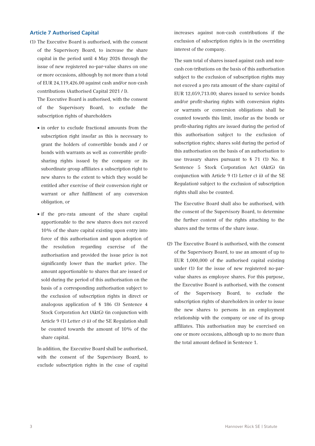#### Article 7 Authorised Capital

(1) The Executive Board is authorised, with the consent of the Supervisory Board, to increase the share capital in the period until 4 May 2026 through the issue of new registered no-par-value shares on one or more occasions, although by not more than a total of EUR 24,119,426.00 against cash and/or non-cash contributions (Authorised Capital 2021 / I).

The Executive Board is authorised, with the consent of the Supervisory Board, to exclude the subscription rights of shareholders

- in order to exclude fractional amounts from the subscription right insofar as this is necessary to grant the holders of convertible bonds and / or bonds with warrants as well as convertible profitsharing rights issued by the company or its subordinate group affiliates a subscription right to new shares to the extent to which they would be entitled after exercise of their conversion right or warrant or after fulfilment of any conversion obligation, or
- if the pro-rata amount of the share capital apportionable to the new shares does not exceed 10% of the share capital existing upon entry into force of this authorisation and upon adoption of the resolution regarding exercise of the authorisation and provided the issue price is not significantly lower than the market price. The amount apportionable to shares that are issued or sold during the period of this authorisation on the basis of a corresponding authorisation subject to the exclusion of subscription rights in direct or analogous application of § 186 (3) Sentence 4 Stock Corporation Act (AktG) (in conjunction with Article 9 (1) Letter c) ii) of the SE Regulation shall be counted towards the amount of 10% of the share capital.

In addition, the Executive Board shall be authorised, with the consent of the Supervisory Board, to exclude subscription rights in the case of capital increases against non-cash contributions if the exclusion of subscription rights is in the overriding interest of the company.

The sum total of shares issued against cash and noncash con-tributions on the basis of this authorisation subject to the exclusion of subscription rights may not exceed a pro rata amount of the share capital of EUR 12,059,713.00; shares issued to service bonds and/or profit-sharing rights with conversion rights or warrants or conversion obligations shall be counted towards this limit, insofar as the bonds or profit-sharing rights are issued during the period of this authorisation subject to the exclusion of subscription rights; shares sold during the period of this authorisation on the basis of an authorisation to use treasury shares pursuant to § 71 (1) No. 8 Sentence 5 Stock Corporation Act (AktG) (in conjunction with Article 9 (1) Letter c) ii) of the SE Regulation) subject to the exclusion of subscription rights shall also be counted.

The Executive Board shall also be authorised, with the consent of the Supervisory Board, to determine the further content of the rights attaching to the shares and the terms of the share issue.

(2) The Executive Board is authorised, with the consent of the Supervisory Board, to use an amount of up to EUR 1,000,000 of the authorised capital existing under (1) for the issue of new registered no-parvalue shares as employee shares. For this purpose, the Executive Board is authorised, with the consent of the Supervisory Board, to exclude the subscription rights of shareholders in order to issue the new shares to persons in an employment relationship with the company or one of its group affiliates. This authorisation may be exercised on one or more occasions, although up to no more than the total amount defined in Sentence 1.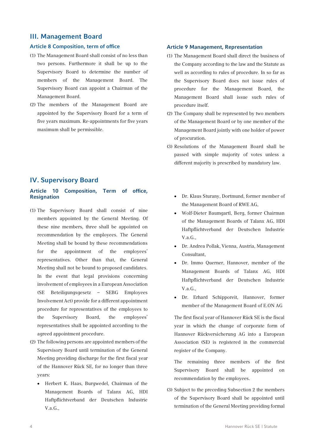#### III. Management Board

#### Article 8 Composition, term of office

- (1) The Management Board shall consist of no less than two persons. Furthermore it shall be up to the Supervisory Board to determine the number of members of the Management Board. The Supervisory Board can appoint a Chairman of the Management Board.
- (2) The members of the Management Board are appointed by the Supervisory Board for a term of five years maximum. Re-appointments for five years maximum shall be permissible.

# IV. Supervisory Board

#### Article 10 Composition, Term of office, Resignation

- (1) The Supervisory Board shall consist of nine members appointed by the General Meeting. Of these nine members, three shall be appointed on recommendation by the employees. The General Meeting shall be bound by these recommendations for the appointment of the employees' representatives. Other than that, the General Meeting shall not be bound to proposed candidates. In the event that legal provisions concerning involvement of employees in a European Association (SE Beteiligungsgesetz – SEBG Employees Involvement Act) provide for a different appointment procedure for representatives of the employees to the Supervisory Board, the employees' representatives shall be appointed according to the agreed appointment procedure.
- (2) The following persons are appointed members of the Supervisory Board until termination of the General Meeting providing discharge for the first fiscal year of the Hannover Rück SE, for no longer than three years:
	- Herbert K. Haas, Burgwedel, Chairman of the Management Boards of Talanx AG, HDI Haftpflichtverband der Deutschen Industrie V.a.G.,

#### Article 9 Management, Representation

- (1) The Management Board shall direct the business of the Company according to the law and the Statute as well as according to rules of procedure. In so far as the Supervisory Board does not issue rules of procedure for the Management Board, the Management Board shall issue such rules of procedure itself.
- (2) The Company shall be represented by two members of the Management Board or by one member of the Management Board jointly with one holder of power of procuration.
- (3) Resolutions of the Management Board shall be passed with simple majority of votes unless a different majority is prescribed by mandatory law.
	- Dr. Klaus Sturany, Dortmund, former member of the Management Board of RWE AG,
	- Wolf-Dieter Baumgartl, Berg, former Chairman of the Management Boards of Talanx AG, HDI Haftpflichtverband der Deutschen Industrie V.a.G.,
	- Dr. Andrea Pollak, Vienna, Austria, Management Consultant,
	- Dr. Immo Querner, Hannover, member of the Management Boards of Talanx AG, HDI Haftpflichtverband der Deutschen Industrie V.a.G.,
	- Dr. Erhard Schipporeit, Hannover, former member of the Management Board of E.ON AG

The first fiscal year of Hannover Rück SE is the fiscal year in which the change of corporate form of Hannover Rückversicherung AG into a European Association (SE) is registered in the commercial register of the Company.

The remaining three members of the first Supervisory Board shall be appointed on recommendation by the employees.

(3) Subject to the preceding Subsection 2 the members of the Supervisory Board shall be appointed until termination of the General Meeting providing formal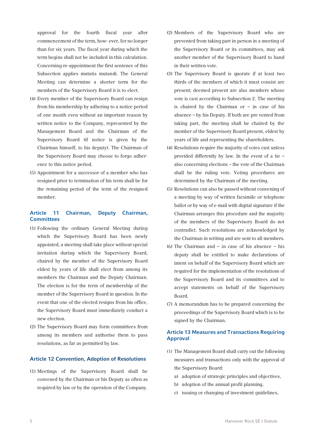approval for the fourth fiscal year after commencement of the term, how- ever, for no longer than for six years. The fiscal year during which the term begins shall not be included in this calculation. Concerning re-appointment the first sentence of this Subsection applies mutatis mutandi. The General Meeting can determine a shorter term for the members of the Supervisory Board it is to elect.

- (4) Every member of the Supervisory Board can resign from his membership by adhering to a notice period of one month even without an important reason by written notice to the Company, represented by the Management Board and the Chairman of the Supervisory Board (if notice is given by the Chairman himself, to his deputy). The Chairman of the Supervisory Board may choose to forgo adherence to this notice period.
- (5) Appointment for a successor of a member who has resigned prior to termination of his term shall be for the remaining period of the term of the resigned member.

## Article 11 Chairman, Deputy Chairman, **Committees**

- (1) Following the ordinary General Meeting during which the Supervisory Board has been newly appointed, a meeting shall take place without special invitation during which the Supervisory Board, chaired by the member of the Supervisory Board eldest by years of life shall elect from among its members the Chairman and the Deputy Chairman. The election is for the term of membership of the member of the Supervisory Board in question. In the event that one of the elected resigns from his office, the Supervisory Board must immediately conduct a new election.
- (2) The Supervisory Board may form committees from among its members and authorise them to pass resolutions, as far as permitted by law.

#### Article 12 Convention, Adoption of Resolutions

(1) Meetings of the Supervisory Board shall be convened by the Chairman or his Deputy as often as required by law or by the operation of the Company.

- (2) Members of the Supervisory Board who are prevented from taking part in person in a meeting of the Supervisory Board or its committees, may ask another member of the Supervisory Board to hand in their written vote.
- (3) The Supervisory Board is quorate if at least two thirds of the members of which it must consist are present; deemed present are also members whose vote is cast according to Subsection 2. The meeting is chaired by the Chairman or  $-$  in case of his absence – by his Deputy. If both are pre vented from taking part, the meeting shall be chaired by the member of the Supervisory Board present, eldest by years of life and representing the shareholders.
- (4) Resolutions require the majority of votes cast unless provided differently by law. In the event of a tie – also concerning elections – the vote of the Chairman shall be the ruling vote. Voting procedures are determined by the Chairman of the meeting.
- (5) Resolutions can also be passed without convening of a meeting by way of written facsimile or telephone ballot or by way of e-mail with digital signature if the Chairman arranges this procedure and the majority of the members of the Supervisory Board do not contradict. Such resolutions are acknowledged by the Chairman in writing and are sent to all members.
- (6) The Chairman and in case of his absence his deputy shall be entitled to make declarations of intent on behalf of the Supervisory Board which are required for the implementation of the resolutions of the Supervisory Board and its committees and to accept statements on behalf of the Supervisory Board.
- (7) A memorandum has to be prepared concerning the proceedings of the Supervisory Board which is to be signed by the Chairman.

#### Article 13 Measures and Transactions Requiring Approval

- (1) The Management Board shall carry out the following measures and transactions only with the approval of the Supervisory Board:
	- a) adoption of strategic principles and objectives,
	- b) adoption of the annual profit planning,
	- c) issuing or changing of investment guidelines,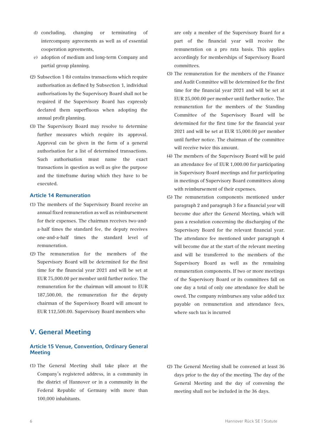- d) concluding, changing or terminating of intercompany agreements as well as of essential cooperation agreements,
- e) adoption of medium and long-term Company and partial group planning.
- (2) Subsection 1 (b) contains transactions which require authorisation as defined by Subsection 1, individual authorisations by the Supervisory Board shall not be required if the Supervisory Board has expressly declared them superfluous when adopting the annual profit planning.
- (3) The Supervisory Board may resolve to determine further measures which require its approval. Approval can be given in the form of a general authorisation for a list of determined transactions. Such authorisation must name the exact transactions in question as well as give the purpose and the timeframe during which they have to be executed.

#### Article 14 Remuneration

- (1) The members of the Supervisory Board receive an annual fixed remuneration as well as reimbursement for their expenses. The chairman receives two-anda-half times the standard fee, the deputy receives one-and-a-half times the standard level of remuneration.
- (2) The remuneration for the members of the Supervisory Board will be determined for the first time for the financial year 2021 and will be set at EUR 75,000.00 per member until further notice. The remuneration for the chairman will amount to EUR 187,500.00, the remuneration for the deputy chairman of the Supervisory Board will amount to EUR 112,500.00. Supervisory Board members who

# V. General Meeting

#### Article 15 Venue, Convention, Ordinary General **Meeting**

(1) The General Meeting shall take place at the Company's registered address, in a community in the district of Hannover or in a community in the Federal Republic of Germany with more than 100,000 inhabitants.

are only a member of the Supervisory Board for a part of the financial year will receive the remuneration on a pro rata basis. This applies accordingly for memberships of Supervisory Board committees.

- (3) The remuneration for the members of the Finance and Audit Committee will be determined for the first time for the financial year 2021 and will be set at EUR 25,000.00 per member until further notice. The remuneration for the members of the Standing Committee of the Supervisory Board will be determined for the first time for the financial year 2021 and will be set at EUR 15,000.00 per member until further notice. The chairman of the committee will receive twice this amount.
- (4) The members of the Supervisory Board will be paid an attendance fee of EUR 1,000.00 for participating in Supervisory Board meetings and for participating in meetings of Supervisory Board committees along with reimbursement of their expenses.
- (5) The remuneration components mentioned under paragraph 2 and paragraph 3 for a financial year will become due after the General Meeting, which will pass a resolution concerning the discharging of the Supervisory Board for the relevant financial year. The attendance fee mentioned under paragraph 4 will become due at the start of the relevant meeting and will be transferred to the members of the Supervisory Board as well as the remaining remuneration components. If two or more meetings of the Supervisory Board or its committees fall on one day a total of only one attendance fee shall be owed. The company reimburses any value added tax payable on remuneration and attendance fees, where such tax is incurred

(2) The General Meeting shall be convened at least 36 days prior to the day of the meeting. The day of the General Meeting and the day of convening the meeting shall not be included in the 36 days.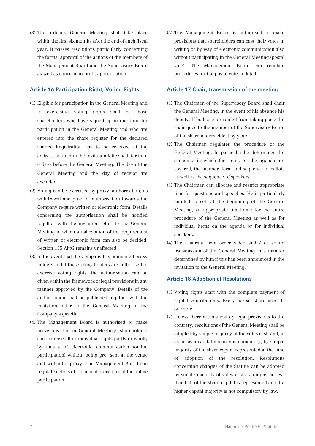(3) The ordinary General Meeting shall take place within the first six months after the end of each fiscal year. It passes resolutions particularly concerning the formal approval of the actions of the members of the Management Board and the Supervisory Board as well as concerning profit appropriation.

#### Article 16 Participation Right, Voting Rights

- (1) Eligible for participation in the General Meeting and to exercising voting rights shall be those shareholders who have signed up in due time for participation in the General Meeting and who are entered into the share register for the declared shares. Registration has to be received at the address notified in the invitation letter no later than 6 days before the General Meeting. The day of the General Meeting and the day of receipt are excluded.
- (2) Voting can be exercised by proxy. authorisation, its withdrawal and proof of authorisation towards the Company require written or electronic form. Details concerning the authorisation shall be notified together with the invitation letter to the General Meeting in which an alleviation of the requirement of written or electronic form can also be decided. Section 135 AktG remains unaffected.
- (3) In the event that the Company has nominated proxy holders and if these proxy holders are authorised to exercise voting rights, the authorisation can be given within the framework of legal provisions in any manner approved by the Company. Details of the authorisation shall be published together with the invitation letter to the General Meeting in the Company's gazette.
- (4) The Management Board is authorised to make provisions that in General Meetings shareholders can exercise all or individual rights partly or wholly by means of electronic communication (online participation) without being pre- sent at the venue and without a proxy. The Management Board can regulate details of scope and procedure of the online participation.

(5) The Management Board is authorised to make provisions that shareholders can cast their votes in writing or by way of electronic communication also without participating in the General Meeting (postal vote). The Management Board can regulate procedures for the postal vote in detail.

#### Article 17 Chair, transmission of the meeting

- (1) The Chairman of the Supervisory Board shall chair the General Meeting, in the event of his absence his deputy. If both are prevented from taking place the chair goes to the member of the Supervisory Board of the shareholders eldest by years.
- (2) The Chairman regulates the procedure of the General Meeting. In particular he determines the sequence in which the items on the agenda are covered, the manner, form and sequence of ballots as well as the sequence of speakers.
- (3) The Chairman can allocate and restrict appropriate time for questions and speeches. He is particularly entitled to set, at the beginning of the General Meeting, an appropriate timeframe for the entire procedure of the General Meeting as well as for individual items on the agenda or for individual speakers.
- (4) The Chairman can order video and / or sound transmission of the General Meeting in a manner determined by him if this has been announced in the invitation to the General Meeting.

#### Article 18 Adoption of Resolutions

- (1) Voting rights start with the complete payment of capital contributions. Every no-par share accords one vote.
- (2) Unless there are mandatory legal provisions to the contrary, resolutions of the General Meeting shall be adopted by simple majority of the votes cast, and, in as far as a capital majority is mandatory, by simple majority of the share capital represented at the time of adoption of the resolution. Resolutions concerning changes of the Statute can be adopted by simple majority of votes cast as long as no less than half of the share capital is represented and if a higher capital majority is not compulsory by law.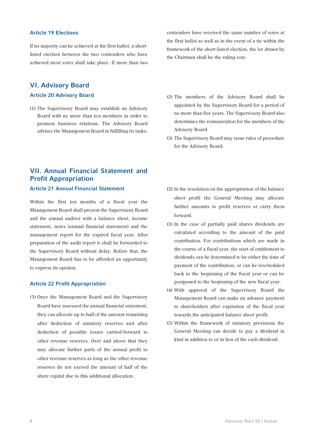#### Article 19 Elections

If no majority can be achieved at the first ballot, a shortlisted election between the two contenders who have achieved most votes shall take place. If more than two

# VI. Advisory Board

#### Article 20 Advisory Board

(1) The Supervisory Board may establish an Advisory Board with no more than ten members in order to promote business relations. The Advisory Board advises the Management Board in fulfilling its tasks.

# VII. Annual Financial Statement and Profit Appropriation

Article 21 Annual Financial Statement

Within the first ten months of a fiscal year the Management Board shall present the Supervisory Board and the annual auditor with a balance sheet, income statement, notes (annual financial statement) and the management report for the expired fiscal year. After preparation of the audit report it shall be forwarded to the Supervisory Board without delay. Before that, the Management Board has to be afforded an opportunity to express its opinion.

#### Article 22 Profit Appropriation

(1) Once the Management Board and the Supervisory Board have assessed the annual financial statement, they can allocate up to half of the amount remaining after deduction of statutory reserves and after deduction of possible losses carried-forward to other revenue reserves. Over and above that they may allocate further parts of the annual profit to other revenue reserves as long as the other revenue reserves do not exceed the amount of half of the share capital due to this additional allocation.

contenders have received the same number of votes at the first ballot as well as in the event of a tie within the framework of the short-listed election, the lot drawn by the Chairman shall be the ruling vote.

- (2) The members of the Advisory Board shall be appointed by the Supervisory Board for a period of no more than five years. The Supervisory Board also determines the remuneration for the members of the Advisory Board.
- (3) The Supervisory Board may issue rules of procedure for the Advisory Board.
- (2) In the resolution on the appropriation of the balance sheet profit the General Meeting may allocate further amounts to profit reserves or carry them forward.
- (3) In the case of partially paid shares dividends are calculated according to the amount of the paid contribution. For contributions which are made in the course of a fiscal year, the start of entitlement to dividends can be determined to be either the time of payment of the contribution, or can be rescheduled back to the beginning of the fiscal year or can be postponed to the beginning of the new fiscal year.
- (4) With approval of the Supervisory Board the Management Board can make an advance payment to shareholders after expiration of the fiscal year towards the anticipated balance sheet profit.
- (5) Within the framework of statutory provisions the General Meeting can decide to pay a dividend in kind in addition to or in lieu of the cash dividend.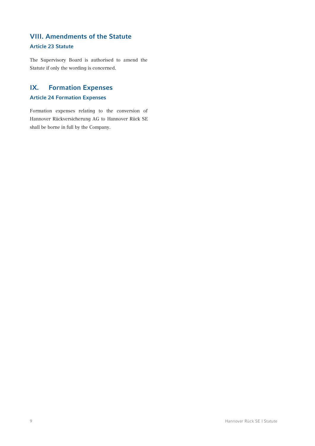# VIII. Amendments of the Statute

# Article 23 Statute

The Supervisory Board is authorised to amend the Statute if only the wording is concerned.

# IX. Formation Expenses

# Article 24 Formation Expenses

Formation expenses relating to the conversion of Hannover Rückversicherung AG to Hannover Rück SE shall be borne in full by the Company.